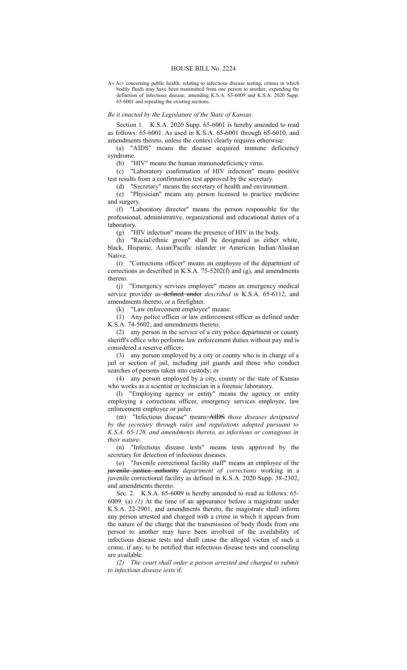## HOUSE BILL No. 2224

AN Act concerning public health; relating to infectious disease testing; crimes in which bodily fluids may have been transmitted from one person to another; expanding the definition of infectious disease; amending K.S.A. 65-6009 and K.S.A. 2020 Supp. 65-6001 and repealing the existing sections.

## *Be it enacted by the Legislature of the State of Kansas:*

Section 1. K.S.A. 2020 Supp. 65-6001 is hereby amended to read as follows: 65-6001. As used in K.S.A. 65-6001 through 65-6010, and amendments thereto, unless the context clearly requires otherwise:

(a) "AIDS" means the disease acquired immune deficiency syndrome.

(b) "HIV" means the human immunodeficiency virus.

(c) "Laboratory confirmation of HIV infection" means positive test results from a confirmation test approved by the secretary.

(d) "Secretary" means the secretary of health and environment.

(e) "Physician" means any person licensed to practice medicine and surgery.

(f) "Laboratory director" means the person responsible for the professional, administrative, organizational and educational duties of a laboratory.

(g) "HIV infection" means the presence of HIV in the body.

(h) "Racial/ethnic group" shall be designated as either white, black, Hispanic, Asian/Pacific islander or American Indian/Alaskan Native.

(i) "Corrections officer" means an employee of the department of corrections as described in K.S.A. 75-5202(f) and (g), and amendments thereto.

(j) "Emergency services employee" means an emergency medical service provider as defined under *described in* K.S.A. 65-6112, and amendments thereto, or a firefighter.

(k) "Law enforcement employee" means:

(1) Any police officer or law enforcement officer as defined under K.S.A. 74-5602, and amendments thereto;

(2) any person in the service of a city police department or county sheriff's office who performs law enforcement duties without pay and is considered a reserve officer;

(3) any person employed by a city or county who is in charge of a jail or section of jail, including jail guards and those who conduct searches of persons taken into custody; or

(4) any person employed by a city, county or the state of Kansas who works as a scientist or technician in a forensic laboratory.

(l) "Employing agency or entity" means the agency or entity employing a corrections officer, emergency services employee, law enforcement employee or jailer.

(m) "Infectious disease" means AIDS *those diseases designated by the secretary through rules and regulations adopted pursuant to K.S.A. 65-128, and amendments thereto, as infectious or contagious in their nature*.

(n) "Infectious disease tests" means tests approved by the secretary for detection of infectious diseases.

(o) "Juvenile correctional facility staff" means an employee of the juvenile justice authority *department of corrections* working in a juvenile correctional facility as defined in K.S.A. 2020 Supp. 38-2302, and amendments thereto.

Sec. 2. K.S.A. 65-6009 is hereby amended to read as follows: 65- 6009. (a) *(1)* At the time of an appearance before a magistrate under K.S.A. 22-2901, and amendments thereto, the magistrate shall inform any person arrested and charged with a crime in which it appears from the nature of the charge that the transmission of body fluids from one person to another may have been involved of the availability of infectious disease tests and shall cause the alleged victim of such a crime, if any, to be notified that infectious disease tests and counseling are available.

*(2) The court shall order a person arrested and charged to submit to infectious disease tests* if*:*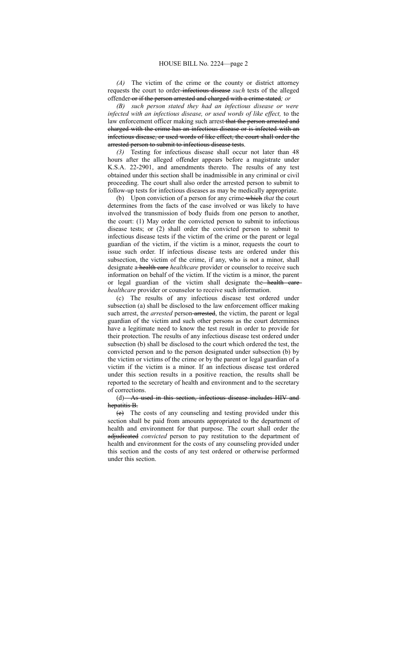*(A)* The victim of the crime or the county or district attorney requests the court to order infectious disease *such* tests of the alleged offender or if the person arrested and charged with a crime stated*; or*

*(B) such person stated they had an infectious disease or were infected with an infectious disease, or used words of like effect,* to the law enforcement officer making such arrest-that the person arrested and charged with the crime has an infectious disease or is infected with an infectious disease, or used words of like effect, the court shall order the arrested person to submit to infectious disease tests.

*(3)* Testing for infectious disease shall occur not later than 48 hours after the alleged offender appears before a magistrate under K.S.A. 22-2901, and amendments thereto. The results of any test obtained under this section shall be inadmissible in any criminal or civil proceeding. The court shall also order the arrested person to submit to follow-up tests for infectious diseases as may be medically appropriate.

(b) Upon conviction of a person for any crime which *that* the court determines from the facts of the case involved or was likely to have involved the transmission of body fluids from one person to another, the court: (1) May order the convicted person to submit to infectious disease tests; or (2) shall order the convicted person to submit to infectious disease tests if the victim of the crime or the parent or legal guardian of the victim, if the victim is a minor, requests the court to issue such order. If infectious disease tests are ordered under this subsection, the victim of the crime, if any, who is not a minor, shall designate a health care *healthcare* provider or counselor to receive such information on behalf of the victim. If the victim is a minor, the parent or legal guardian of the victim shall designate the health care *healthcare* provider or counselor to receive such information.

(c) The results of any infectious disease test ordered under subsection (a) shall be disclosed to the law enforcement officer making such arrest, the *arrested* person-arrested, the victim, the parent or legal guardian of the victim and such other persons as the court determines have a legitimate need to know the test result in order to provide for their protection. The results of any infectious disease test ordered under subsection (b) shall be disclosed to the court which ordered the test, the convicted person and to the person designated under subsection (b) by the victim or victims of the crime or by the parent or legal guardian of a victim if the victim is a minor. If an infectious disease test ordered under this section results in a positive reaction, the results shall be reported to the secretary of health and environment and to the secretary of corrections.

(d) As used in this section, infectious disease includes HIV and hepatitis B.

(e) The costs of any counseling and testing provided under this section shall be paid from amounts appropriated to the department of health and environment for that purpose. The court shall order the adjudicated *convicted* person to pay restitution to the department of health and environment for the costs of any counseling provided under this section and the costs of any test ordered or otherwise performed under this section.